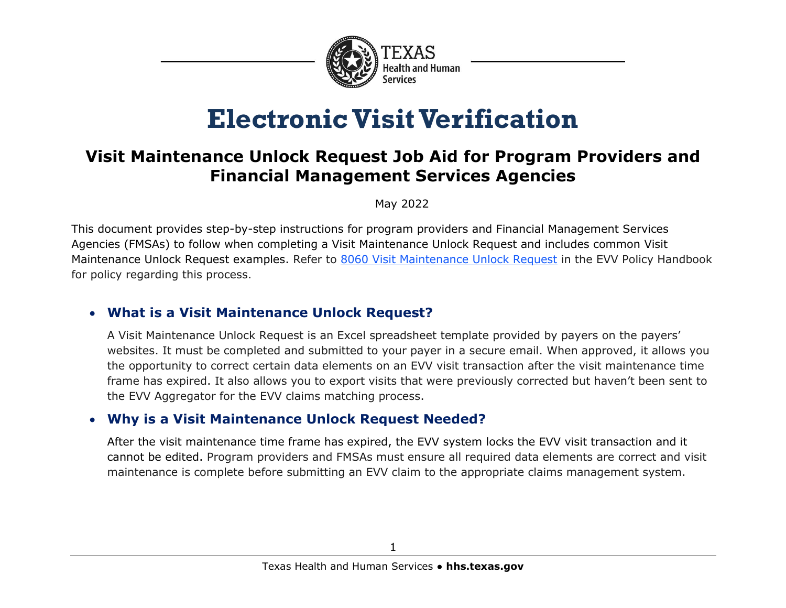

# **Electronic Visit Verification**

# **Visit Maintenance Unlock Request Job Aid for Program Providers and Financial Management Services Agencies**

May 2022

This document provides step-by-step instructions for program providers and Financial Management Services Agencies (FMSAs) to follow when completing a Visit Maintenance Unlock Request and includes common Visit Maintenance Unlock Request examples. Refer to [8060 Visit Maintenance Unlock Request](https://www.hhs.texas.gov/handbooks/electronic-visit-verification-policy-handbook/8000-visit-maintenance#8060) in the EVV Policy Handbook for policy regarding this process.

# • **What is a Visit Maintenance Unlock Request?**

A Visit Maintenance Unlock Request is an Excel spreadsheet template provided by payers on the payers' websites. It must be completed and submitted to your payer in a secure email. When approved, it allows you the opportunity to correct certain data elements on an EVV visit transaction after the visit maintenance time frame has expired. It also allows you to export visits that were previously corrected but haven't been sent to the EVV Aggregator for the EVV claims matching process.

## • **Why is a Visit Maintenance Unlock Request Needed?**

After the visit maintenance time frame has expired, the EVV system locks the EVV visit transaction and it cannot be edited. Program providers and FMSAs must ensure all required data elements are correct and visit maintenance is complete before submitting an EVV claim to the appropriate claims management system.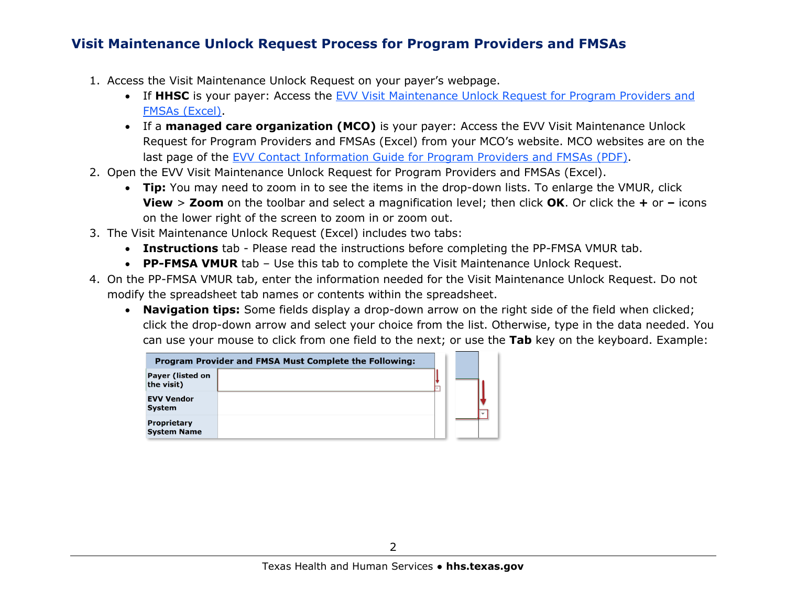## **Visit Maintenance Unlock Request Process for Program Providers and FMSAs**

- 1. Access the Visit Maintenance Unlock Request on your payer's webpage.
	- If **HHSC** is your payer: Access the [EVV Visit Maintenance Unlock Request for Program Providers and](https://www.hhs.texas.gov/sites/default/files/documents/doing-business-with-hhs/providers/long-term-care/evv/evv-visit-maintenance-unlock-request.xlsx)  [FMSAs \(Excel\).](https://www.hhs.texas.gov/sites/default/files/documents/doing-business-with-hhs/providers/long-term-care/evv/evv-visit-maintenance-unlock-request.xlsx)
	- If a **managed care organization (MCO)** is your payer: Access the EVV Visit Maintenance Unlock Request for Program Providers and FMSAs (Excel) from your MCO's website. MCO websites are on the last page of the [EVV Contact Information Guide for Program Providers and FMSAs](https://www.hhs.texas.gov/sites/default/files/documents/doing-business-with-hhs/providers/long-term-care/evv/evv-contact-information-guide.pdf) (PDF).
- 2. Open the EVV Visit Maintenance Unlock Request for Program Providers and FMSAs (Excel).
	- **Tip:** You may need to zoom in to see the items in the drop-down lists. To enlarge the VMUR, click **View** > **Zoom** on the toolbar and select a magnification level; then click **OK**. Or click the **+** or **–** icons on the lower right of the screen to zoom in or zoom out.
- 3. The Visit Maintenance Unlock Request (Excel) includes two tabs:
	- **Instructions** tab Please read the instructions before completing the PP-FMSA VMUR tab.
	- **PP-FMSA VMUR** tab Use this tab to complete the Visit Maintenance Unlock Request.
- 4. On the PP-FMSA VMUR tab, enter the information needed for the Visit Maintenance Unlock Request. Do not modify the spreadsheet tab names or contents within the spreadsheet.
	- **Navigation tips:** Some fields display a drop-down arrow on the right side of the field when clicked; click the drop-down arrow and select your choice from the list. Otherwise, type in the data needed. You can use your mouse to click from one field to the next; or use the **Tab** key on the keyboard. Example:

| Program Provider and FMSA Must Complete the Following: |  |  |  |
|--------------------------------------------------------|--|--|--|
| Payer (listed on<br>the visit)                         |  |  |  |
| EVV Vendor<br>Svstem                                   |  |  |  |
| Proprietary<br>System Name                             |  |  |  |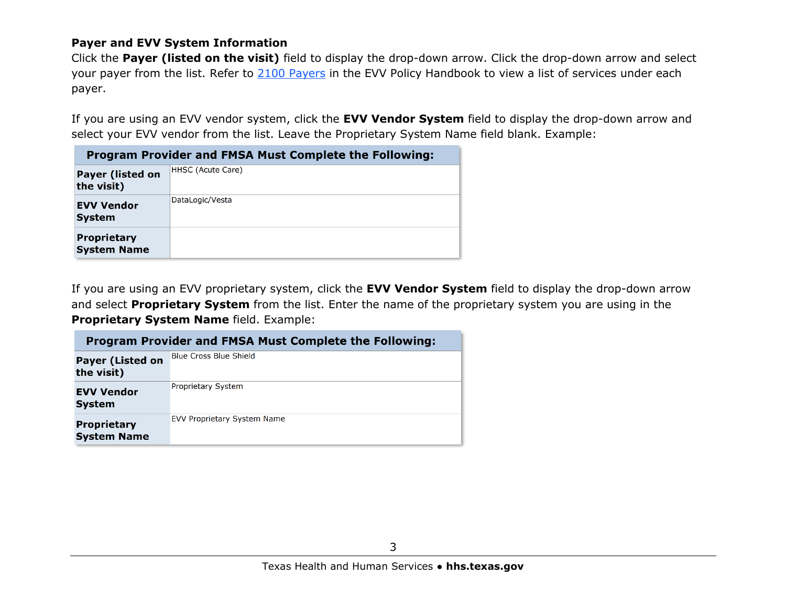#### **Payer and EVV System Information**

Click the **Payer (listed on the visit)** field to display the drop-down arrow. Click the drop-down arrow and select your payer from the list. Refer to [2100 Payers](https://www.hhs.texas.gov/handbooks/electronic-visit-verification-policy-handbook/2000-evv-stakeholders#2100) in the EVV Policy Handbook to view a list of services under each payer.

If you are using an EVV vendor system, click the **EVV Vendor System** field to display the drop-down arrow and select your EVV vendor from the list. Leave the Proprietary System Name field blank. Example:

| <b>Program Provider and FMSA Must Complete the Following:</b> |                   |  |  |  |  |  |
|---------------------------------------------------------------|-------------------|--|--|--|--|--|
| <b>Payer (listed on</b><br>the visit)                         | HHSC (Acute Care) |  |  |  |  |  |
| <b>EVV Vendor</b><br><b>System</b>                            | DataLogic/Vesta   |  |  |  |  |  |
| <b>Proprietary</b><br><b>System Name</b>                      |                   |  |  |  |  |  |

If you are using an EVV proprietary system, click the **EVV Vendor System** field to display the drop-down arrow and select **Proprietary System** from the list. Enter the name of the proprietary system you are using in the **Proprietary System Name** field. Example:

|                                          | <b>Program Provider and FMSA Must Complete the Following:</b> |  |  |  |  |  |
|------------------------------------------|---------------------------------------------------------------|--|--|--|--|--|
| <b>Payer (Listed on</b><br>the visit)    | <b>Blue Cross Blue Shield</b>                                 |  |  |  |  |  |
| <b>EVV Vendor</b><br><b>System</b>       | Proprietary System                                            |  |  |  |  |  |
| <b>Proprietary</b><br><b>System Name</b> | EVV Proprietary System Name                                   |  |  |  |  |  |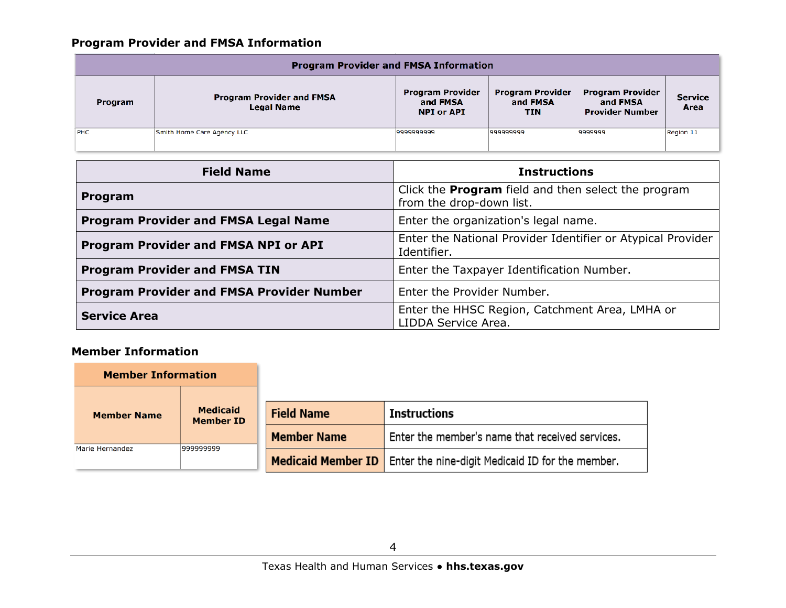## **Program Provider and FMSA Information**

| <b>Program Provider and FMSA Information</b> |                                                       |                                                          |                                                   |                                                               |                 |  |  |
|----------------------------------------------|-------------------------------------------------------|----------------------------------------------------------|---------------------------------------------------|---------------------------------------------------------------|-----------------|--|--|
| Program                                      | <b>Program Provider and FMSA</b><br><b>Legal Name</b> | <b>Program Provider</b><br>and FMSA<br><b>NPI or API</b> | <b>Program Provider</b><br>and FMSA<br><b>TIN</b> | <b>Program Provider</b><br>and FMSA<br><b>Provider Number</b> | Service<br>Area |  |  |
| <b>PHC</b>                                   | Smith Home Care Agency LLC                            | 9999999999                                               | 999999999                                         | 9999999                                                       | Region 11       |  |  |
|                                              |                                                       |                                                          |                                                   |                                                               |                 |  |  |

| <b>Field Name</b>                                | <b>Instructions</b>                                                                    |
|--------------------------------------------------|----------------------------------------------------------------------------------------|
| Program                                          | Click the <b>Program</b> field and then select the program<br>from the drop-down list. |
| <b>Program Provider and FMSA Legal Name</b>      | Enter the organization's legal name.                                                   |
| <b>Program Provider and FMSA NPI or API</b>      | Enter the National Provider Identifier or Atypical Provider<br>Identifier.             |
| <b>Program Provider and FMSA TIN</b>             | Enter the Taxpayer Identification Number.                                              |
| <b>Program Provider and FMSA Provider Number</b> | Enter the Provider Number.                                                             |
| <b>Service Area</b>                              | Enter the HHSC Region, Catchment Area, LMHA or<br>LIDDA Service Area.                  |

### **Member Information**

| <b>Member Information</b>                                 |           |                    |                                                  |  |
|-----------------------------------------------------------|-----------|--------------------|--------------------------------------------------|--|
| <b>Medicaid</b><br><b>Member Name</b><br><b>Member ID</b> |           | <b>Field Name</b>  | Instructions                                     |  |
| Marie Hernandez                                           | 999999999 | <b>Member Name</b> | Enter the member's name that received services.  |  |
|                                                           |           | Medicaid Member ID | Enter the nine-digit Medicaid ID for the member. |  |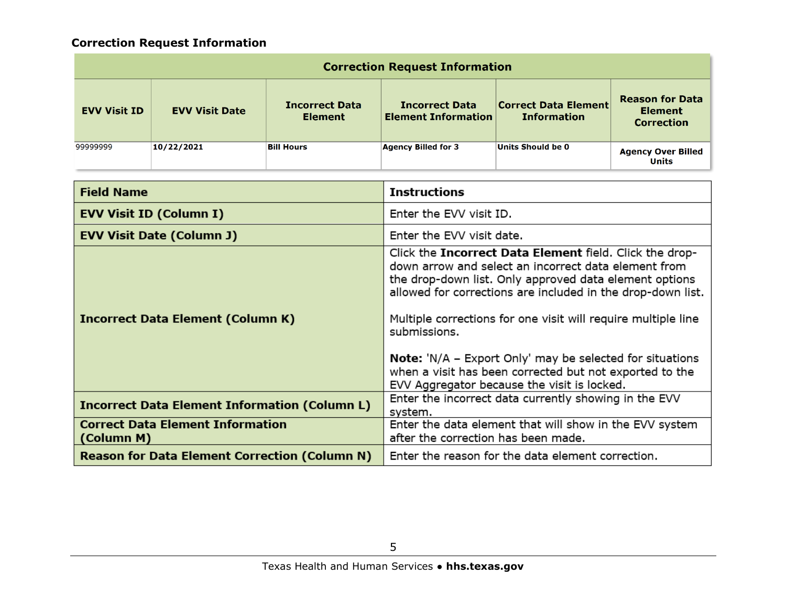# **Correction Request Information**

| <b>Correction Request Information</b> |                       |                                         |                                                     |                                                   |                                                               |  |  |
|---------------------------------------|-----------------------|-----------------------------------------|-----------------------------------------------------|---------------------------------------------------|---------------------------------------------------------------|--|--|
| <b>EVV Visit ID</b>                   | <b>EVV Visit Date</b> | <b>Incorrect Data</b><br><b>Element</b> | <b>Incorrect Data</b><br><b>Element Information</b> | <b>Correct Data Element</b><br><b>Information</b> | <b>Reason for Data</b><br><b>Element</b><br><b>Correction</b> |  |  |
| 99999999                              | 10/22/2021            | <b>Bill Hours</b>                       | <b>Agency Billed for 3</b>                          | Units Should be 0                                 | <b>Agency Over Billed</b><br><b>Units</b>                     |  |  |

| <b>Field Name</b>                                     | <b>Instructions</b>                                                                                                                                                                                                                                                                                                                                                                                                                                                                                    |
|-------------------------------------------------------|--------------------------------------------------------------------------------------------------------------------------------------------------------------------------------------------------------------------------------------------------------------------------------------------------------------------------------------------------------------------------------------------------------------------------------------------------------------------------------------------------------|
| <b>EVV Visit ID (Column I)</b>                        | Enter the EVV visit ID.                                                                                                                                                                                                                                                                                                                                                                                                                                                                                |
| <b>EVV Visit Date (Column J)</b>                      | Enter the EVV visit date.                                                                                                                                                                                                                                                                                                                                                                                                                                                                              |
| <b>Incorrect Data Element (Column K)</b>              | Click the Incorrect Data Element field. Click the drop-<br>down arrow and select an incorrect data element from<br>the drop-down list. Only approved data element options<br>allowed for corrections are included in the drop-down list.<br>Multiple corrections for one visit will require multiple line<br>submissions.<br><b>Note:</b> 'N/A – Export Only' may be selected for situations<br>when a visit has been corrected but not exported to the<br>EVV Aggregator because the visit is locked. |
| <b>Incorrect Data Element Information (Column L)</b>  | Enter the incorrect data currently showing in the EVV<br>system.                                                                                                                                                                                                                                                                                                                                                                                                                                       |
| <b>Correct Data Element Information</b><br>(Column M) | Enter the data element that will show in the EVV system<br>after the correction has been made.                                                                                                                                                                                                                                                                                                                                                                                                         |
| <b>Reason for Data Element Correction (Column N)</b>  | Enter the reason for the data element correction.                                                                                                                                                                                                                                                                                                                                                                                                                                                      |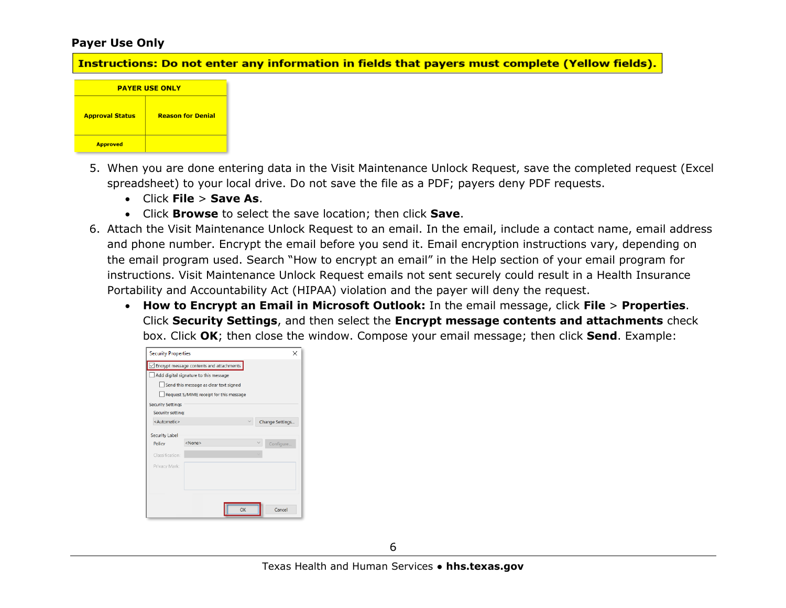#### **Payer Use Only**

Instructions: Do not enter any information in fields that payers must complete (Yellow fields).



- 5. When you are done entering data in the Visit Maintenance Unlock Request, save the completed request (Excel spreadsheet) to your local drive. Do not save the file as a PDF; payers deny PDF requests.
	- Click **File** > **Save As**.
	- Click **Browse** to select the save location; then click **Save**.
- 6. Attach the Visit Maintenance Unlock Request to an email. In the email, include a contact name, email address and phone number. Encrypt the email before you send it. Email encryption instructions vary, depending on the email program used. Search "How to encrypt an email" in the Help section of your email program for instructions. Visit Maintenance Unlock Request emails not sent securely could result in a Health Insurance Portability and Accountability Act (HIPAA) violation and the payer will deny the request.
	- **How to Encrypt an Email in Microsoft Outlook:** In the email message, click **File** > **Properties**. Click **Security Settings**, and then select the **Encrypt message contents and attachments** check box. Click **OK**; then close the window. Compose your email message; then click **Send**. Example:

| <b>Security Properties</b> |                                          |  | ×               |
|----------------------------|------------------------------------------|--|-----------------|
|                            | Encrypt message contents and attachments |  |                 |
|                            | Add digital signature to this message    |  |                 |
|                            | Send this message as clear text signed   |  |                 |
|                            | Request S/MIME receipt for this message  |  |                 |
| <b>Security Settings</b>   |                                          |  |                 |
| Security setting:          |                                          |  |                 |
| <automatic></automatic>    |                                          |  | Change Settings |
| <b>Security Label</b>      |                                          |  |                 |
| Policy                     | <none></none>                            |  | Configure       |
| Classification:            |                                          |  |                 |
| Privacy Mark:              |                                          |  |                 |
|                            |                                          |  |                 |
|                            |                                          |  |                 |
|                            |                                          |  |                 |
|                            | OK                                       |  | Cancel          |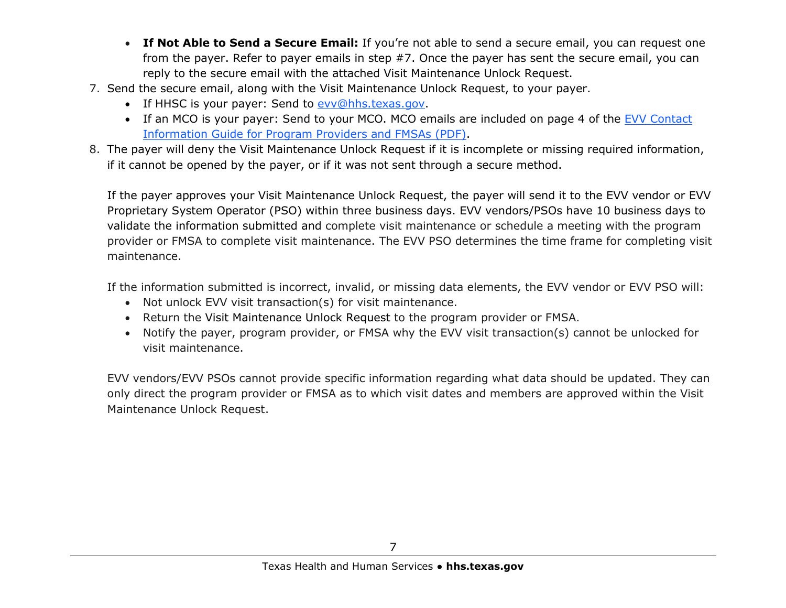- **If Not Able to Send a Secure Email:** If you're not able to send a secure email, you can request one from the payer. Refer to payer emails in step #7. Once the payer has sent the secure email, you can reply to the secure email with the attached Visit Maintenance Unlock Request.
- 7. Send the secure email, along with the Visit Maintenance Unlock Request, to your payer.
	- If HHSC is your payer: Send to [evv@hhs.texas.gov.](mailto:evv@hhs.texas.gov)
	- If an MCO is your payer: Send to your MCO. MCO emails are included on page 4 of the [EVV Contact](https://www.hhs.texas.gov/sites/default/files/documents/doing-business-with-hhs/providers/long-term-care/evv/evv-contact-information-guide.pdf)  [Information Guide for Program Providers and FMSAs](https://www.hhs.texas.gov/sites/default/files/documents/doing-business-with-hhs/providers/long-term-care/evv/evv-contact-information-guide.pdf) (PDF).
- 8. The payer will deny the Visit Maintenance Unlock Request if it is incomplete or missing required information, if it cannot be opened by the payer, or if it was not sent through a secure method.

If the payer approves your Visit Maintenance Unlock Request, the payer will send it to the EVV vendor or EVV Proprietary System Operator (PSO) within three business days. EVV vendors/PSOs have 10 business days to validate the information submitted and complete visit maintenance or schedule a meeting with the program provider or FMSA to complete visit maintenance. The EVV PSO determines the time frame for completing visit maintenance.

If the information submitted is incorrect, invalid, or missing data elements, the EVV vendor or EVV PSO will:

- Not unlock EVV visit transaction(s) for visit maintenance.
- Return the Visit Maintenance Unlock Request to the program provider or FMSA.
- Notify the payer, program provider, or FMSA why the EVV visit transaction(s) cannot be unlocked for visit maintenance.

EVV vendors/EVV PSOs cannot provide specific information regarding what data should be updated. They can only direct the program provider or FMSA as to which visit dates and members are approved within the Visit Maintenance Unlock Request.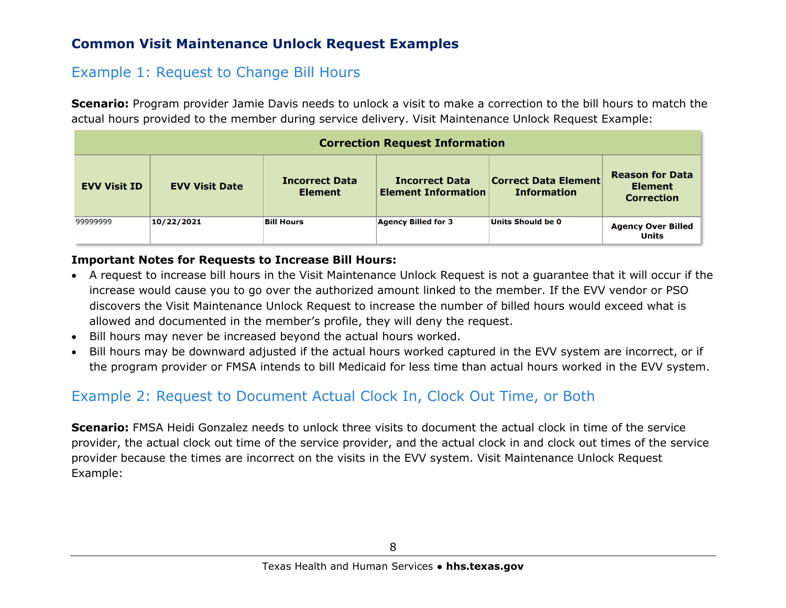# **Common Visit Maintenance Unlock Request Examples**

# Example 1: Request to Change Bill Hours

**Scenario:** Program provider Jamie Davis needs to unlock a visit to make a correction to the bill hours to match the actual hours provided to the member during service delivery. Visit Maintenance Unlock Request Example:

| <b>Correction Request Information</b> |                       |                                         |                                                     |                                                   |                                                               |  |  |
|---------------------------------------|-----------------------|-----------------------------------------|-----------------------------------------------------|---------------------------------------------------|---------------------------------------------------------------|--|--|
| <b>EVV Visit ID</b>                   | <b>EVV Visit Date</b> | <b>Incorrect Data</b><br><b>Element</b> | <b>Incorrect Data</b><br><b>Element Information</b> | <b>Correct Data Element</b><br><b>Information</b> | <b>Reason for Data</b><br><b>Element</b><br><b>Correction</b> |  |  |
| 99999999                              | 10/22/2021            | <b>Bill Hours</b>                       | <b>Agency Billed for 3</b>                          | Units Should be 0                                 | <b>Agency Over Billed</b><br>Units                            |  |  |

#### **Important Notes for Requests to Increase Bill Hours:**

- A request to increase bill hours in the Visit Maintenance Unlock Request is not a guarantee that it will occur if the increase would cause you to go over the authorized amount linked to the member. If the EVV vendor or PSO discovers the Visit Maintenance Unlock Request to increase the number of billed hours would exceed what is allowed and documented in the member's profile, they will deny the request.
- Bill hours may never be increased beyond the actual hours worked.
- Bill hours may be downward adjusted if the actual hours worked captured in the EVV system are incorrect, or if the program provider or FMSA intends to bill Medicaid for less time than actual hours worked in the EVV system.

# Example 2: Request to Document Actual Clock In, Clock Out Time, or Both

**Scenario:** FMSA Heidi Gonzalez needs to unlock three visits to document the actual clock in time of the service provider, the actual clock out time of the service provider, and the actual clock in and clock out times of the service provider because the times are incorrect on the visits in the EVV system. Visit Maintenance Unlock Request Example: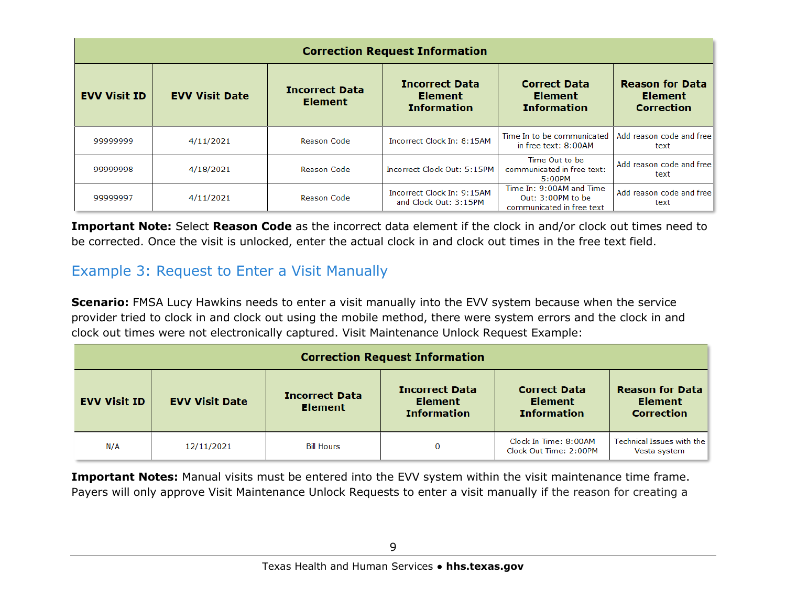| <b>Correction Request Information</b> |                       |                                         |                                                               |                                                                            |                                                               |  |  |
|---------------------------------------|-----------------------|-----------------------------------------|---------------------------------------------------------------|----------------------------------------------------------------------------|---------------------------------------------------------------|--|--|
| <b>EVV Visit ID</b>                   | <b>EVV Visit Date</b> | <b>Incorrect Data</b><br><b>Element</b> | <b>Incorrect Data</b><br><b>Element</b><br><b>Information</b> | <b>Correct Data</b><br><b>Element</b><br><b>Information</b>                | <b>Reason for Data</b><br><b>Element</b><br><b>Correction</b> |  |  |
| 99999999                              | 4/11/2021             | <b>Reason Code</b>                      | Incorrect Clock In: 8:15AM                                    | Time In to be communicated<br>in free text: 8:00AM                         | Add reason code and free<br>text                              |  |  |
| 99999998                              | 4/18/2021             | <b>Reason Code</b>                      | Incorrect Clock Out: 5:15PM                                   | Time Out to be<br>communicated in free text:<br>5:00PM                     | Add reason code and free<br>text                              |  |  |
| 99999997                              | 4/11/2021             | <b>Reason Code</b>                      | Incorrect Clock In: 9:15AM<br>and Clock Out: 3:15PM           | Time In: 9:00AM and Time<br>Out: 3:00PM to be<br>communicated in free text | Add reason code and free<br>text                              |  |  |

**Important Note:** Select **Reason Code** as the incorrect data element if the clock in and/or clock out times need to be corrected. Once the visit is unlocked, enter the actual clock in and clock out times in the free text field.

# Example 3: Request to Enter a Visit Manually

**Scenario:** FMSA Lucy Hawkins needs to enter a visit manually into the EVV system because when the service provider tried to clock in and clock out using the mobile method, there were system errors and the clock in and clock out times were not electronically captured. Visit Maintenance Unlock Request Example:

| <b>Correction Request Information</b> |                       |                                         |                                                               |                                                             |                                                               |  |  |
|---------------------------------------|-----------------------|-----------------------------------------|---------------------------------------------------------------|-------------------------------------------------------------|---------------------------------------------------------------|--|--|
| <b>EVV Visit ID</b>                   | <b>EVV Visit Date</b> | <b>Incorrect Data</b><br><b>Element</b> | <b>Incorrect Data</b><br><b>Element</b><br><b>Information</b> | <b>Correct Data</b><br><b>Element</b><br><b>Information</b> | <b>Reason for Data</b><br><b>Element</b><br><b>Correction</b> |  |  |
| N/A                                   | 12/11/2021            | <b>Bill Hours</b>                       | $\bf{0}$                                                      | Clock In Time: 8:00AM<br>Clock Out Time: 2:00PM             | Technical Issues with the<br>Vesta system                     |  |  |

**Important Notes:** Manual visits must be entered into the EVV system within the visit maintenance time frame. Payers will only approve Visit Maintenance Unlock Requests to enter a visit manually if the reason for creating a